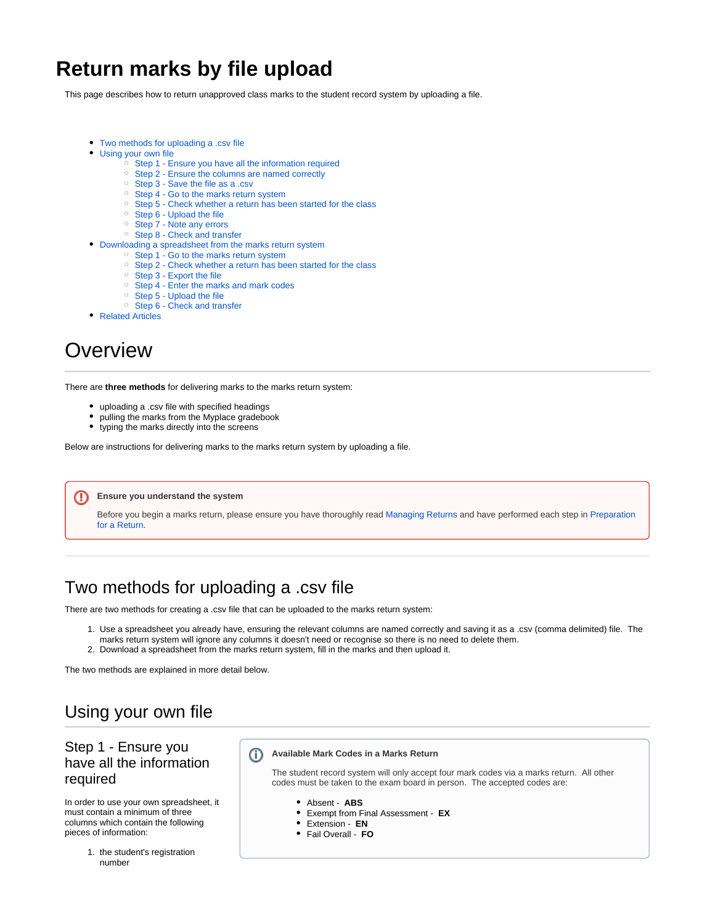# **Return marks by file upload**

This page describes how to return unapproved class marks to the student record system by uploading a file.

- [Two methods for uploading a .csv file](#page-0-0)
- [Using your own file](#page-0-1)
	- <sup>o</sup> [Step 1 Ensure you have all the information required](#page-0-2)
	- <sup>o</sup> [Step 2 Ensure the columns are named correctly](#page-1-0)
	- <sup>o</sup> [Step 3 Save the file as a .csv](#page-1-1)
	- <sup>o</sup> [Step 4 Go to the marks return system](#page-1-2)
	- <sup>o</sup> [Step 5 Check whether a return has been started for the class](#page-1-3)
	- <sup>o</sup> [Step 6 Upload the file](#page-2-0)
	- <sup>o</sup> [Step 7 Note any errors](#page-2-1)
	- <sup>o</sup> [Step 8 Check and transfer](#page-2-2)
- [Downloading a spreadsheet from the marks return system](#page-2-3)
	- <sup>o</sup> [Step 1 Go to the marks return system](#page-2-4)
	- <sup>o</sup> [Step 2 Check whether a return has been started for the class](#page-3-0)
	- <sup>o</sup> [Step 3 Export the file](#page-3-1)
	- <sup>o</sup> [Step 4 Enter the marks and mark codes](#page-3-2)
	- <sup>o</sup> [Step 5 Upload the file](#page-3-3)
	- <sup>o</sup> [Step 6 Check and transfer](#page-4-0)
- [Related Articles](#page-4-1)

# Overview

There are **three methods** for delivering marks to the marks return system:

- uploading a .csv file with specified headings
- pulling the marks from the Myplace gradebook
- typing the marks directly into the screens

Below are instructions for delivering marks to the marks return system by uploading a file.

#### **Ensure you understand the system** ⋒

Before you begin a marks return, please ensure you have thoroughly read [Managing Returns](https://support.myplace.strath.ac.uk/display/MS/Managing+Returns) and have performed each step in [Preparation](https://support.myplace.strath.ac.uk/display/MS/Preparation+for+Return)  [for a Return.](https://support.myplace.strath.ac.uk/display/MS/Preparation+for+Return)

# <span id="page-0-0"></span>Two methods for uploading a .csv file

There are two methods for creating a .csv file that can be uploaded to the marks return system:

- 1. Use a spreadsheet you already have, ensuring the relevant columns are named correctly and saving it as a .csv (comma delimited) file. The marks return system will ignore any columns it doesn't need or recognise so there is no need to delete them.
- 
- 2. Download a spreadsheet from the marks return system, fill in the marks and then upload it.

The two methods are explained in more detail below.

## <span id="page-0-1"></span>Using your own file

#### <span id="page-0-2"></span>Step 1 - Ensure you have all the information required

In order to use your own spreadsheet, it must contain a minimum of three columns which contain the following pieces of information:

> 1. the student's registration number

G) **Available Mark Codes in a Marks Return**

> The student record system will only accept four mark codes via a marks return. All other codes must be taken to the exam board in person. The accepted codes are:

- Absent **ABS**
- Exempt from Final Assessment **EX**
- Extension **EN**
- Fail Overall **FO**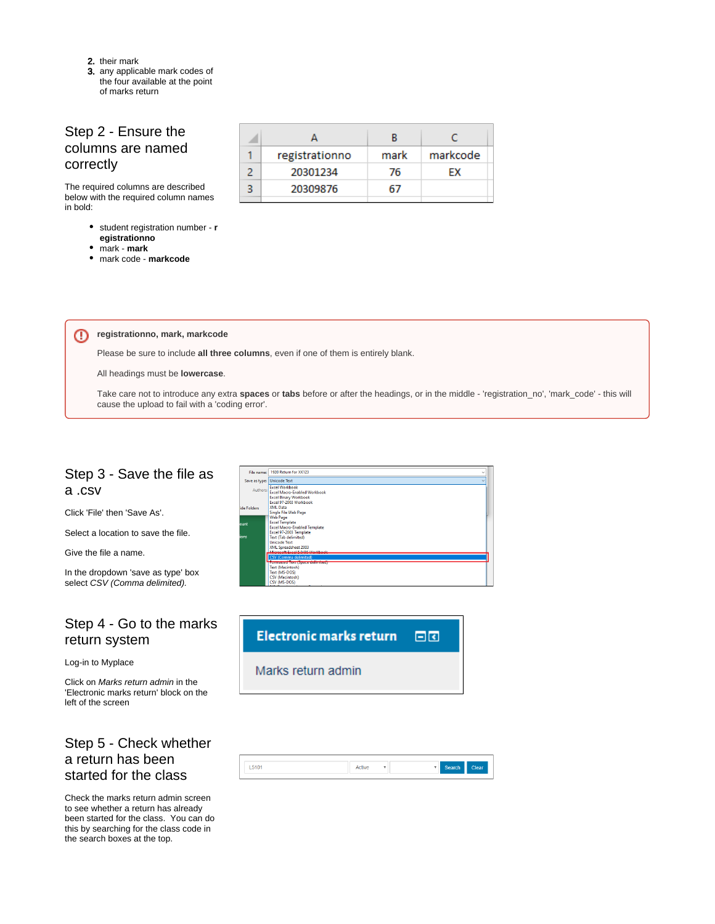- 2. their mark
- 3. any applicable mark codes of the four available at the point of marks return

#### <span id="page-1-0"></span>Step 2 - Ensure the columns are named correctly

The required columns are described below with the required column names in bold:

- student registration number **r egistrationno**
- mark **mark**

⋒

mark code - **markcode**

| registrationno | mark | markcode |
|----------------|------|----------|
| 20301234       | 76   | FX       |
| 20309876       |      |          |
|                |      |          |

**registrationno, mark, markcode**

Please be sure to include **all three columns**, even if one of them is entirely blank.

All headings must be **lowercase**.

Take care not to introduce any extra **spaces** or **tabs** before or after the headings, or in the middle - 'registration\_no', 'mark\_code' - this will cause the upload to fail with a 'coding error'.

#### <span id="page-1-1"></span>Step 3 - Save the file as a .csv

Click 'File' then 'Save As'.

Select a location to save the file.

Give the file a name.

In the dropdown 'save as type' box select CSV (Comma delimited).

#### <span id="page-1-2"></span>Step 4 - Go to the marks return system

Log-in to Myplace

Click on Marks return admin in the 'Electronic marks return' block on the left of the screen

#### <span id="page-1-3"></span>Step 5 - Check whether a return has been started for the class

Check the marks return admin screen to see whether a return has already been started for the class. You can do this by searching for the class code in the search boxes at the top.

| File name: | 1920 Return for XX123<br>$\checkmark$                                                                           |  |
|------------|-----------------------------------------------------------------------------------------------------------------|--|
|            | Save as type: Unicode Text                                                                                      |  |
| Authors:   | <b>Excel Workbook</b><br>Excel Macro-Enabled Workbook                                                           |  |
|            | <b>Excel Binary Workbook</b><br>Excel 97-2003 Workbook                                                          |  |
| de Folders | XML Data<br>Single File Web Page                                                                                |  |
| unt        | <b>Web Page</b><br><b>Excel Template</b><br><b>Excel Macro-Enabled Template</b>                                 |  |
| ons        | Excel 97-2003 Template<br><b>Text (Tab delimited)</b><br><b>Unicode Text</b><br>XML Spreadsheet 2003            |  |
|            | <b>General: Cural 5 0/05 Waddrash</b><br><b>CSV (Comma delimited)</b>                                           |  |
|            | Tromatted Text (Space delimited)<br><b>Text (Macintosh)</b><br>Text (MS-DOS)<br>CSV (Macintosh)<br>CSV (MS-DOS) |  |



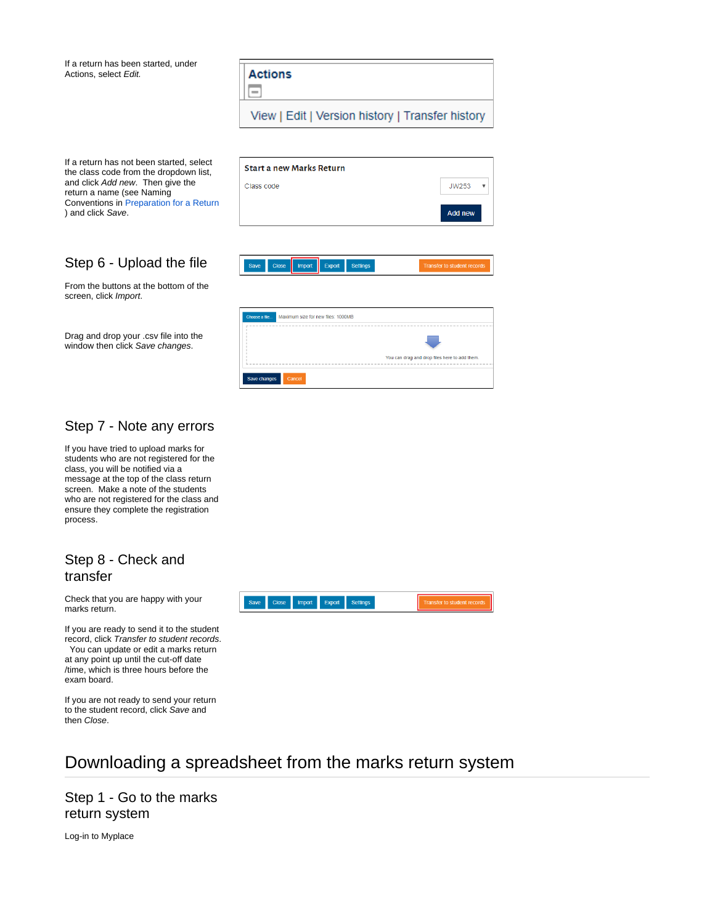

Start a new Marks Return

Class code

Save changes

If a return has not been started, select the class code from the dropdown list, and click Add new. Then give the return a name (see Naming Conventions in [Preparation for a Return](https://sup) ) and click Save.

If a return has been started, under

Actions, select Edit.

### <span id="page-2-0"></span>Step 6 - Upload the file

From the buttons at the bottom of the screen, click Import.

Drag and drop your .csv file into the window then click Save changes.



**JW253**  $\bar{\mathbf{v}}$ 

#### <span id="page-2-1"></span>Step 7 - Note any errors

If you have tried to upload marks for students who are not registered for the class, you will be notified via a message at the top of the class return screen. Make a note of the students who are not registered for the class and ensure they complete the registration process.

#### <span id="page-2-2"></span>Step 8 - Check and transfer

Check that you are happy with your marks return.

If you are ready to send it to the student record, click Transfer to student records. You can update or edit a marks return at any point up until the cut-off date /time, which is three hours before the exam board.

If you are not ready to send your return to the student record, click Save and then Close.



# <span id="page-2-3"></span>Downloading a spreadsheet from the marks return system

<span id="page-2-4"></span>Step 1 - Go to the marks return system

Log-in to Myplace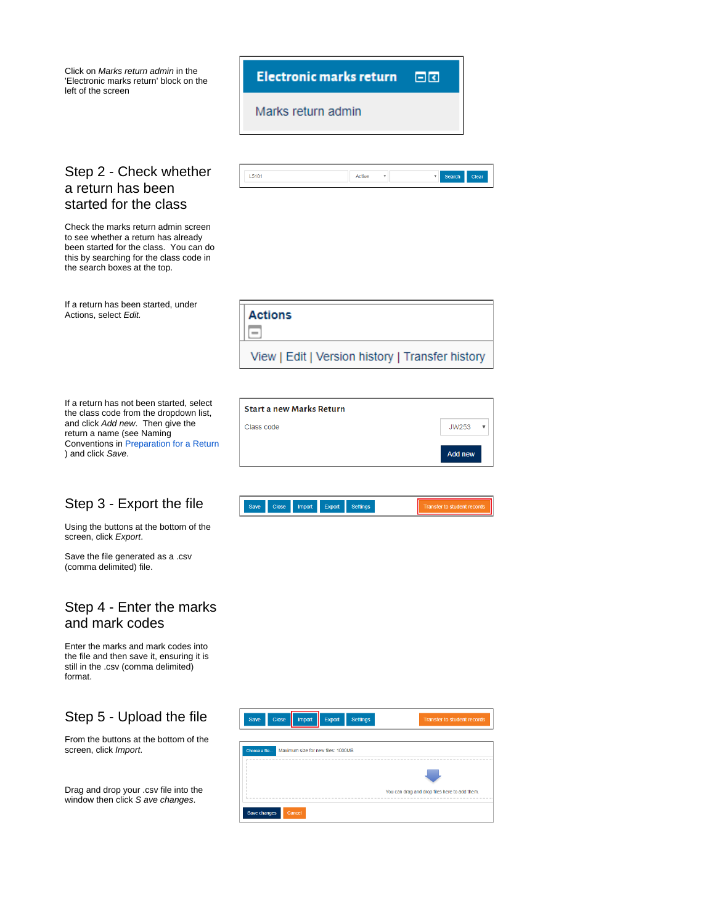<span id="page-3-0"></span>

#### <span id="page-3-1"></span>Step 3 - Export the file

) and click Save.

Using the buttons at the bottom of the screen, click Export.

Save the file generated as a .csv (comma delimited) file.

### <span id="page-3-2"></span>Step 4 - Enter the marks and mark codes

Enter the marks and mark codes into the file and then save it, ensuring it is still in the .csv (comma delimited) format.

## <span id="page-3-3"></span>Step 5 - Upload the file

From the buttons at the bottom of the screen, click Import.

Drag and drop your .csv file into the window then click S ave changes.